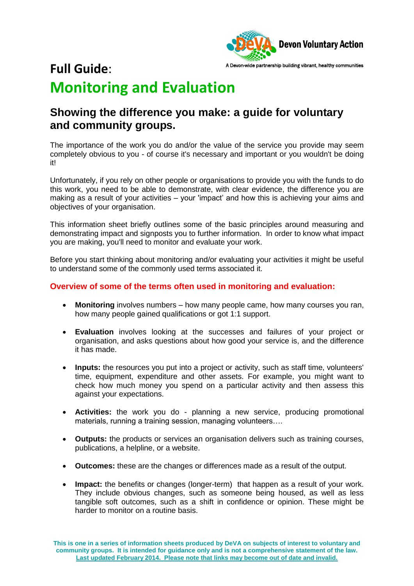

# **Full Guide**: **Monitoring and Evaluation**

# **Showing the difference you make: a guide for voluntary and community groups.**

The importance of the work you do and/or the value of the service you provide may seem completely obvious to you - of course it's necessary and important or you wouldn't be doing it!

Unfortunately, if you rely on other people or organisations to provide you with the funds to do this work, you need to be able to demonstrate, with clear evidence, the difference you are making as a result of your activities – your 'impact' and how this is achieving your aims and objectives of your organisation.

This information sheet briefly outlines some of the basic principles around measuring and demonstrating impact and signposts you to further information. In order to know what impact you are making, you'll need to monitor and evaluate your work.

Before you start thinking about monitoring and/or evaluating your activities it might be useful to understand some of the commonly used terms associated it.

#### **Overview of some of the terms often used in monitoring and evaluation:**

- **Monitoring** involves numbers how many people came, how many courses you ran, how many people gained qualifications or got 1:1 support.
- **Evaluation** involves looking at the successes and failures of your project or organisation, and asks questions about how good your service is, and the difference it has made.
- **Inputs:** the resources you put into a project or activity, such as staff time, volunteers' time, equipment, expenditure and other assets. For example, you might want to check how much money you spend on a particular activity and then assess this against your expectations.
- **Activities:** the work you do planning a new service, producing promotional materials, running a training session, managing volunteers….
- **Outputs:** the products or services an organisation delivers such as training courses, publications, a helpline, or a website.
- **Outcomes:** these are the changes or differences made as a result of the output.
- **Impact:** the benefits or changes (longer-term) that happen as a result of your work. They include obvious changes, such as someone being housed, as well as less tangible soft outcomes, such as a shift in confidence or opinion. These might be harder to monitor on a routine basis.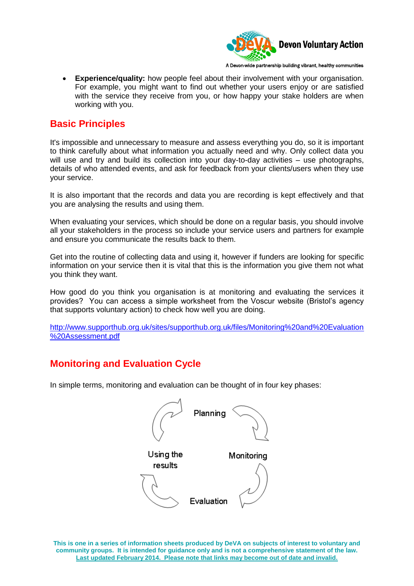

A Devon-wide partnership building vibrant, healthy communities

 **Experience/quality:** how people feel about their involvement with your organisation. For example, you might want to find out whether your users enjoy or are satisfied with the service they receive from you, or how happy your stake holders are when working with you.

## **Basic Principles**

It's impossible and unnecessary to measure and assess everything you do, so it is important to think carefully about what information you actually need and why. Only collect data you will use and try and build its collection into your day-to-day activities – use photographs, details of who attended events, and ask for feedback from your clients/users when they use your service.

It is also important that the records and data you are recording is kept effectively and that you are analysing the results and using them.

When evaluating your services, which should be done on a regular basis, you should involve all your stakeholders in the process so include your service users and partners for example and ensure you communicate the results back to them.

Get into the routine of collecting data and using it, however if funders are looking for specific information on your service then it is vital that this is the information you give them not what you think they want.

How good do you think you organisation is at monitoring and evaluating the services it provides? You can access a simple worksheet from the Voscur website (Bristol's agency that supports voluntary action) to check how well you are doing.

[http://www.supporthub.org.uk/sites/supporthub.org.uk/files/Monitoring%20and%20Evaluation](http://www.supporthub.org.uk/sites/supporthub.org.uk/files/Monitoring%20and%20Evaluation%20Assessment.pdf) [%20Assessment.pdf](http://www.supporthub.org.uk/sites/supporthub.org.uk/files/Monitoring%20and%20Evaluation%20Assessment.pdf)

# **Monitoring and Evaluation Cycle**

In simple terms, monitoring and evaluation can be thought of in four key phases:

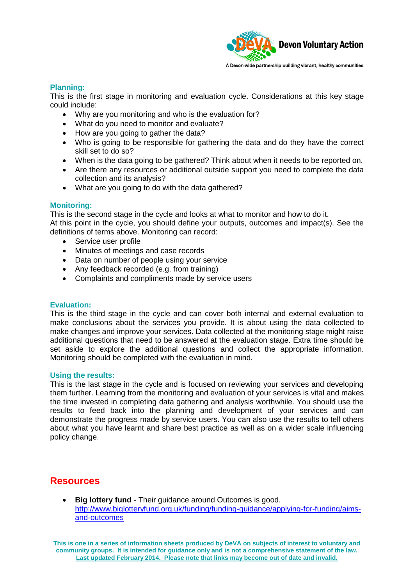

**Planning:** 

This is the first stage in monitoring and evaluation cycle. Considerations at this key stage could include:

- Why are you monitoring and who is the evaluation for?
- What do you need to monitor and evaluate?
- How are you going to gather the data?
- Who is going to be responsible for gathering the data and do they have the correct skill set to do so?
- When is the data going to be gathered? Think about when it needs to be reported on.
- Are there any resources or additional outside support you need to complete the data collection and its analysis?
- What are you going to do with the data gathered?

#### **Monitoring:**

This is the second stage in the cycle and looks at what to monitor and how to do it. At this point in the cycle, you should define your outputs, outcomes and impact(s). See the definitions of terms above. Monitoring can record:

- Service user profile
- Minutes of meetings and case records
- Data on number of people using your service
- Any feedback recorded (e.g. from training)
- Complaints and compliments made by service users

#### **Evaluation:**

This is the third stage in the cycle and can cover both internal and external evaluation to make conclusions about the services you provide. It is about using the data collected to make changes and improve your services. Data collected at the monitoring stage might raise additional questions that need to be answered at the evaluation stage. Extra time should be set aside to explore the additional questions and collect the appropriate information. Monitoring should be completed with the evaluation in mind.

#### **Using the results:**

This is the last stage in the cycle and is focused on reviewing your services and developing them further. Learning from the monitoring and evaluation of your services is vital and makes the time invested in completing data gathering and analysis worthwhile. You should use the results to feed back into the planning and development of your services and can demonstrate the progress made by service users. You can also use the results to tell others about what you have learnt and share best practice as well as on a wider scale influencing policy change.

### **Resources**

**Big lottery fund** - Their guidance around Outcomes is good. [http://www.biglotteryfund.org.uk/funding/funding-guidance/applying-for-funding/aims](http://www.biglotteryfund.org.uk/funding/funding-guidance/applying-for-funding/aims-and-outcomes)[and-outcomes](http://www.biglotteryfund.org.uk/funding/funding-guidance/applying-for-funding/aims-and-outcomes)